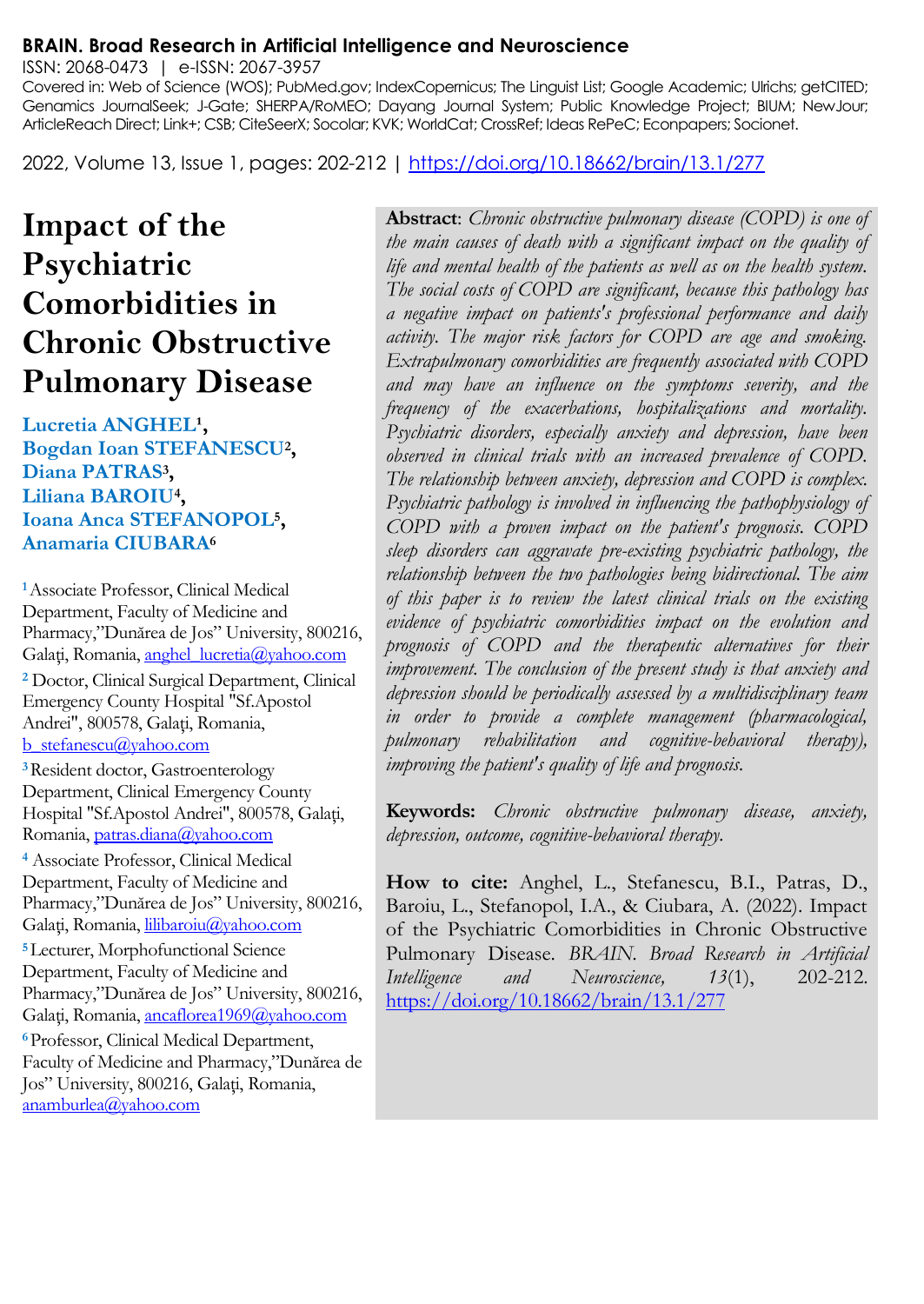#### **BRAIN. Broad Research in Artificial Intelligence and Neuroscience**

ISSN: 2068-0473 | e-ISSN: 2067-3957

Covered in: Web of Science (WOS); PubMed.gov; IndexCopernicus; The Linguist List; Google Academic; Ulrichs; getCITED; Genamics JournalSeek; J-Gate; SHERPA/RoMEO; Dayang Journal System; Public Knowledge Project; BIUM; NewJour; ArticleReach Direct; Link+; CSB; CiteSeerX; Socolar; KVK; WorldCat; CrossRef; Ideas RePeC; Econpapers; Socionet.

2022, Volume 13, Issue 1, pages: 202-212 |<https://doi.org/10.18662/brain/13.1/277>

# **Impact of the Psychiatric Comorbidities in Chronic Obstructive Pulmonary Disease**

Lucretia **ANGHEL<sup>1</sup>**, **Bogdan Ioan STEFANESCU<sup>2</sup> , Diana PATRAS<sup>3</sup> , Liliana BAROIU<sup>4</sup> , Ioana Anca STEFANOPOL<sup>5</sup> , Anamaria CIUBARA<sup>6</sup>**

**<sup>1</sup>**Associate Professor, Clinical Medical Department, Faculty of Medicine and Pharmacy,"Dunărea de Jos" University, 800216, Galați, Romania[, anghel\\_lucretia@yahoo.com](mailto:anghel_lucretia@yahoo.com) **<sup>2</sup>** Doctor, Clinical Surgical Department, Clinical Emergency County Hospital "Sf.Apostol Andrei", 800578, Galați, Romania, [b\\_stefanescu@yahoo.com](mailto:b_stefanescu@yahoo.com) **<sup>3</sup>**Resident doctor, Gastroenterology

Department, Clinical Emergency County Hospital "Sf.Apostol Andrei", 800578, Galaţi, Romania, [patras.diana@yahoo.com](mailto:patras.diana@yahoo.com)

**<sup>4</sup>** Associate Professor, Clinical Medical Department, Faculty of Medicine and Pharmacy,"Dunărea de Jos" University, 800216, Galați, Romania, [lilibaroiu@yahoo.com](mailto:lilibaroiu@yahoo.com)

**<sup>5</sup>**Lecturer, Morphofunctional Science Department, Faculty of Medicine and Pharmacy,"Dunărea de Jos" University, 800216, Galați, Romania, [ancaflorea1969@yahoo.com](mailto:ancaflorea1969@yahoo.com) **<sup>6</sup>**Professor, Clinical Medical Department, Faculty of Medicine and Pharmacy,"Dunărea de Jos" University, 800216, Galaţi, Romania, [anamburlea@yahoo.com](mailto:anamburlea@yahoo.com)

**Abstract**: *Chronic obstructive pulmonary disease (COPD) is one of the main causes of death with a significant impact on the quality of life and mental health of the patients as well as on the health system. The social costs of COPD are significant, because this pathology has a negative impact on patients's professional performance and daily activity. The major risk factors for COPD are age and smoking. Extrapulmonary comorbidities are frequently associated with COPD and may have an influence on the symptoms severity, and the frequency of the exacerbations, hospitalizations and mortality. Psychiatric disorders, especially anxiety and depression, have been observed in clinical trials with an increased prevalence of COPD. The relationship between anxiety, depression and COPD is complex. Psychiatric pathology is involved in influencing the pathophysiology of COPD with a proven impact on the patient's prognosis. COPD sleep disorders can aggravate pre-existing psychiatric pathology, the relationship between the two pathologies being bidirectional. The aim of this paper is to review the latest clinical trials on the existing evidence of psychiatric comorbidities impact on the evolution and prognosis of COPD and the therapeutic alternatives for their improvement. The conclusion of the present study is that anxiety and depression should be periodically assessed by a multidisciplinary team in order to provide a complete management (pharmacological, pulmonary rehabilitation and cognitive-behavioral therapy), improving the patient's quality of life and prognosis.*

**Keywords:** *Chronic obstructive pulmonary disease, anxiety, depression, outcome, cognitive-behavioral therapy.*

**How to cite:** Anghel, L., Stefanescu, B.I., Patras, D., Baroiu, L., Stefanopol, I.A., & Ciubara, A. (2022). Impact of the Psychiatric Comorbidities in Chronic Obstructive Pulmonary Disease. *BRAIN. Broad Research in Artificial Intelligence and Neuroscience, 13*(1), 202-212. <https://doi.org/10.18662/brain/13.1/277>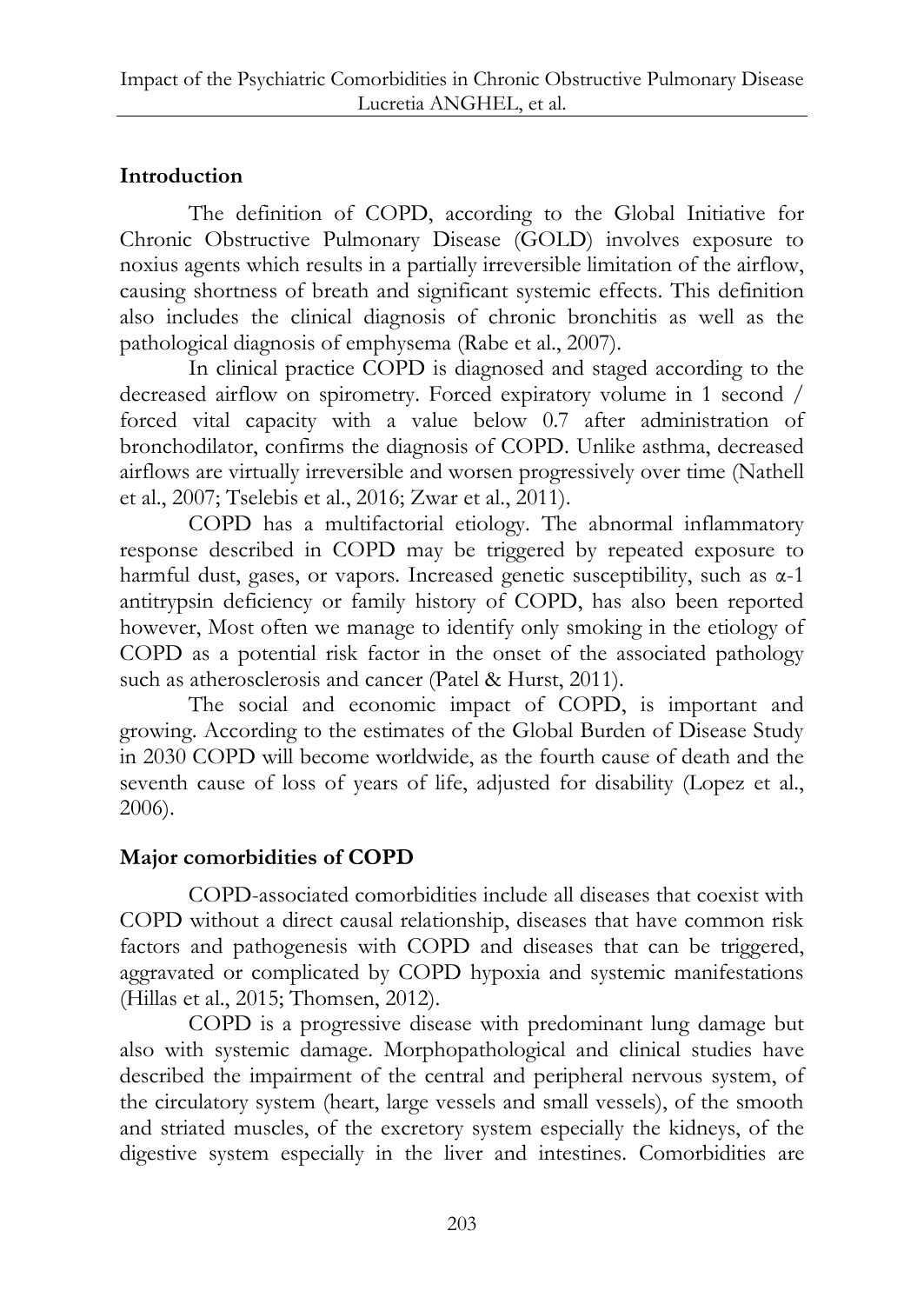# **Introduction**

The definition of COPD, according to the Global Initiative for Chronic Obstructive Pulmonary Disease (GOLD) involves exposure to noxius agents which results in a partially irreversible limitation of the airflow, causing shortness of breath and significant systemic effects. This definition also includes the clinical diagnosis of chronic bronchitis as well as the pathological diagnosis of emphysema (Rabe et al., 2007).

In clinical practice COPD is diagnosed and staged according to the decreased airflow on spirometry. Forced expiratory volume in 1 second / forced vital capacity with a value below 0.7 after administration of bronchodilator, confirms the diagnosis of COPD. Unlike asthma, decreased airflows are virtually irreversible and worsen progressively over time (Nathell et al., 2007; Tselebis et al., 2016; Zwar et al., 2011).

COPD has a multifactorial etiology. The abnormal inflammatory response described in COPD may be triggered by repeated exposure to harmful dust, gases, or vapors. Increased genetic susceptibility, such as  $\alpha$ -1 antitrypsin deficiency or family history of COPD, has also been reported however, Most often we manage to identify only smoking in the etiology of COPD as a potential risk factor in the onset of the associated pathology such as atherosclerosis and cancer (Patel & Hurst, 2011).

The social and economic impact of COPD, is important and growing. According to the estimates of the Global Burden of Disease Study in 2030 COPD will become worldwide, as the fourth cause of death and the seventh cause of loss of years of life, adjusted for disability (Lopez et al., 2006).

# **Major comorbidities of COPD**

COPD-associated comorbidities include all diseases that coexist with COPD without a direct causal relationship, diseases that have common risk factors and pathogenesis with COPD and diseases that can be triggered, aggravated or complicated by COPD hypoxia and systemic manifestations (Hillas et al., 2015; Thomsen, 2012).

COPD is a progressive disease with predominant lung damage but also with systemic damage. Morphopathological and clinical studies have described the impairment of the central and peripheral nervous system, of the circulatory system (heart, large vessels and small vessels), of the smooth and striated muscles, of the excretory system especially the kidneys, of the digestive system especially in the liver and intestines. Comorbidities are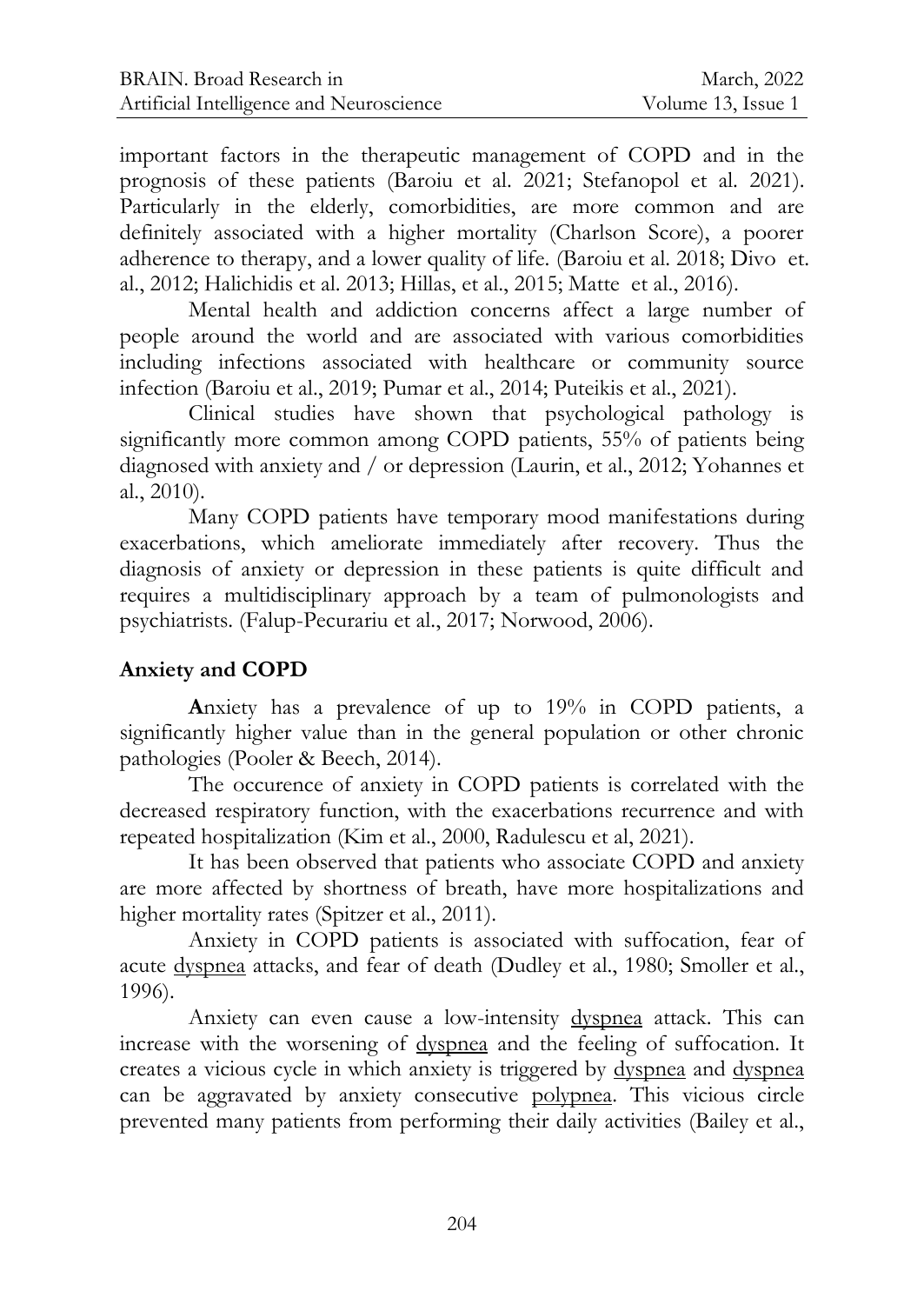important factors in the therapeutic management of COPD and in the prognosis of these patients (Baroiu et al. 2021; Stefanopol et al. 2021). Particularly in the elderly, comorbidities, are more common and are definitely associated with a higher mortality (Charlson Score), a poorer adherence to therapy, and a lower quality of life. (Baroiu et al. 2018; Divo et. al., 2012; Halichidis et al. 2013; Hillas, et al., 2015; Matte et al., 2016).

Mental health and addiction concerns affect a large number of people around the world and are associated with various comorbidities including infections associated with healthcare or community source infection (Baroiu et al., 2019; Pumar et al., 2014; Puteikis et al., 2021).

Clinical studies have shown that psychological pathology is significantly more common among COPD patients, 55% of patients being diagnosed with anxiety and / or depression (Laurin, et al., 2012; Yohannes et al., 2010).

Many COPD patients have temporary mood manifestations during exacerbations, which ameliorate immediately after recovery. Thus the diagnosis of anxiety or depression in these patients is quite difficult and requires a multidisciplinary approach by a team of pulmonologists and psychiatrists. (Falup-Pecurariu et al., 2017; Norwood, 2006).

## **Anxiety and COPD**

**A**nxiety has a prevalence of up to 19% in COPD patients, a significantly higher value than in the general population or other chronic pathologies (Pooler & Beech, 2014).

The occurence of anxiety in COPD patients is correlated with the decreased respiratory function, with the exacerbations recurrence and with repeated hospitalization (Kim et al., 2000, Radulescu et al, 2021).

It has been observed that patients who associate COPD and anxiety are more affected by shortness of breath, have more hospitalizations and higher mortality rates (Spitzer et al., 2011).

Anxiety in COPD patients is associated with suffocation, fear of acute dyspnea attacks, and fear of death (Dudley et al., 1980; Smoller et al., 1996).

Anxiety can even cause a low-intensity dyspnea attack. This can increase with the worsening of dyspnea and the feeling of suffocation. It creates a vicious cycle in which anxiety is triggered by dyspnea and dyspnea can be aggravated by anxiety consecutive polypnea. This vicious circle prevented many patients from performing their daily activities (Bailey et al.,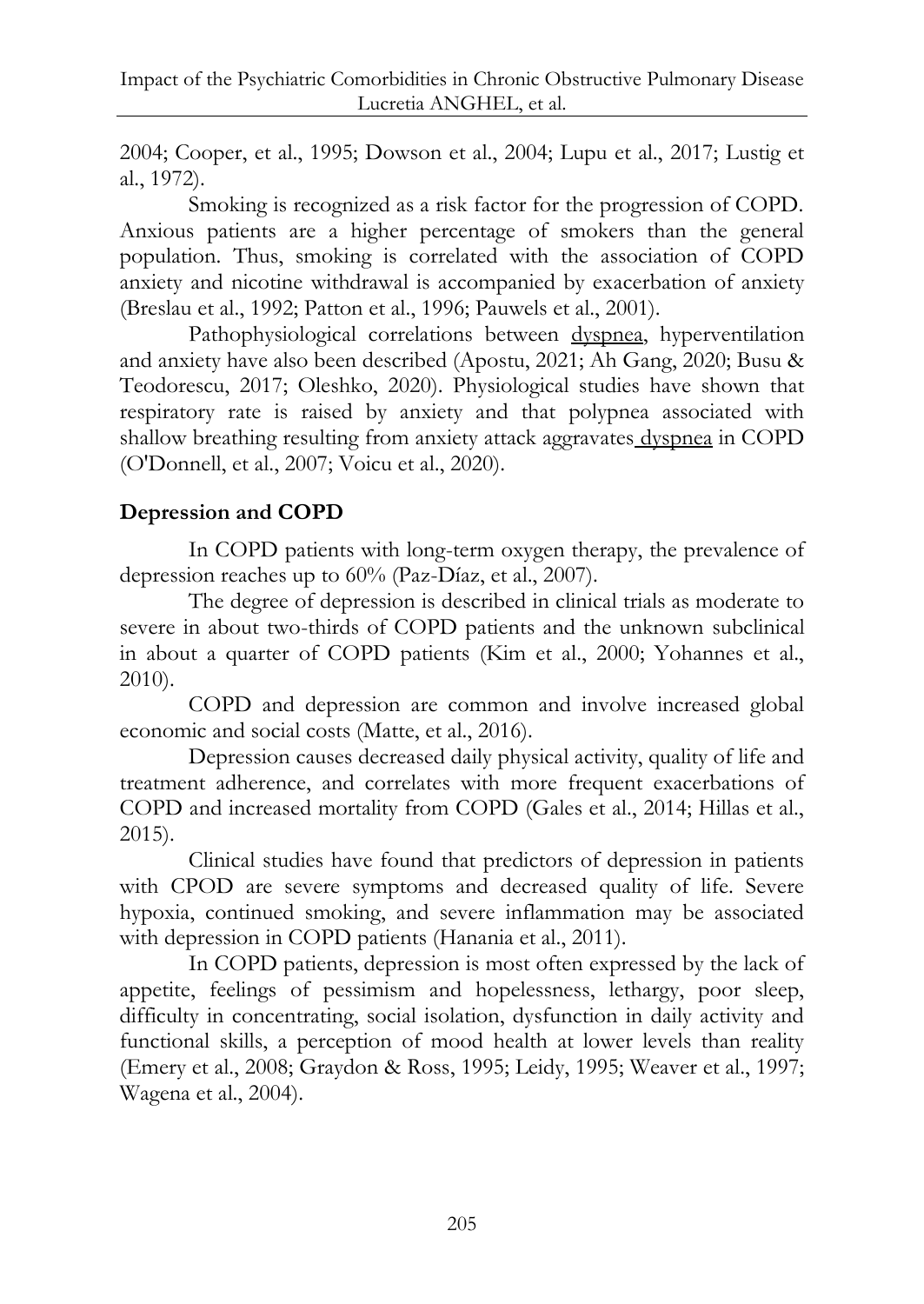2004; Cooper, et al., 1995; Dowson et al., 2004; Lupu et al., 2017; Lustig et al., 1972).

Smoking is recognized as a risk factor for the progression of COPD. Anxious patients are a higher percentage of smokers than the general population. Thus, smoking is correlated with the association of COPD anxiety and nicotine withdrawal is accompanied by exacerbation of anxiety (Breslau et al., 1992; Patton et al., 1996; Pauwels et al., 2001).

Pathophysiological correlations between dyspnea, hyperventilation and anxiety have also been described (Apostu, 2021; Ah Gang, 2020; Busu & Teodorescu, 2017; Oleshko, 2020). Physiological studies have shown that respiratory rate is raised by anxiety and that polypnea associated with shallow breathing resulting from anxiety attack aggravates dyspnea in COPD (O'Donnell, et al., 2007; Voicu et al., 2020).

## **Depression and COPD**

In COPD patients with long-term oxygen therapy, the prevalence of depression reaches up to 60% (Paz-Díaz, et al., 2007).

The degree of depression is described in clinical trials as moderate to severe in about two-thirds of COPD patients and the unknown subclinical in about a quarter of COPD patients (Kim et al., 2000; Yohannes et al., 2010).

COPD and depression are common and involve increased global economic and social costs (Matte, et al., 2016).

Depression causes decreased daily physical activity, quality of life and treatment adherence, and correlates with more frequent exacerbations of COPD and increased mortality from COPD (Gales et al., 2014; Hillas et al., 2015).

Clinical studies have found that predictors of depression in patients with CPOD are severe symptoms and decreased quality of life. Severe hypoxia, continued smoking, and severe inflammation may be associated with depression in COPD patients (Hanania et al., 2011).

In COPD patients, depression is most often expressed by the lack of appetite, feelings of pessimism and hopelessness, lethargy, poor sleep, difficulty in concentrating, social isolation, dysfunction in daily activity and functional skills, a perception of mood health at lower levels than reality (Emery et al., 2008; Graydon & Ross, 1995; Leidy, 1995; Weaver et al., 1997; Wagena et al., 2004).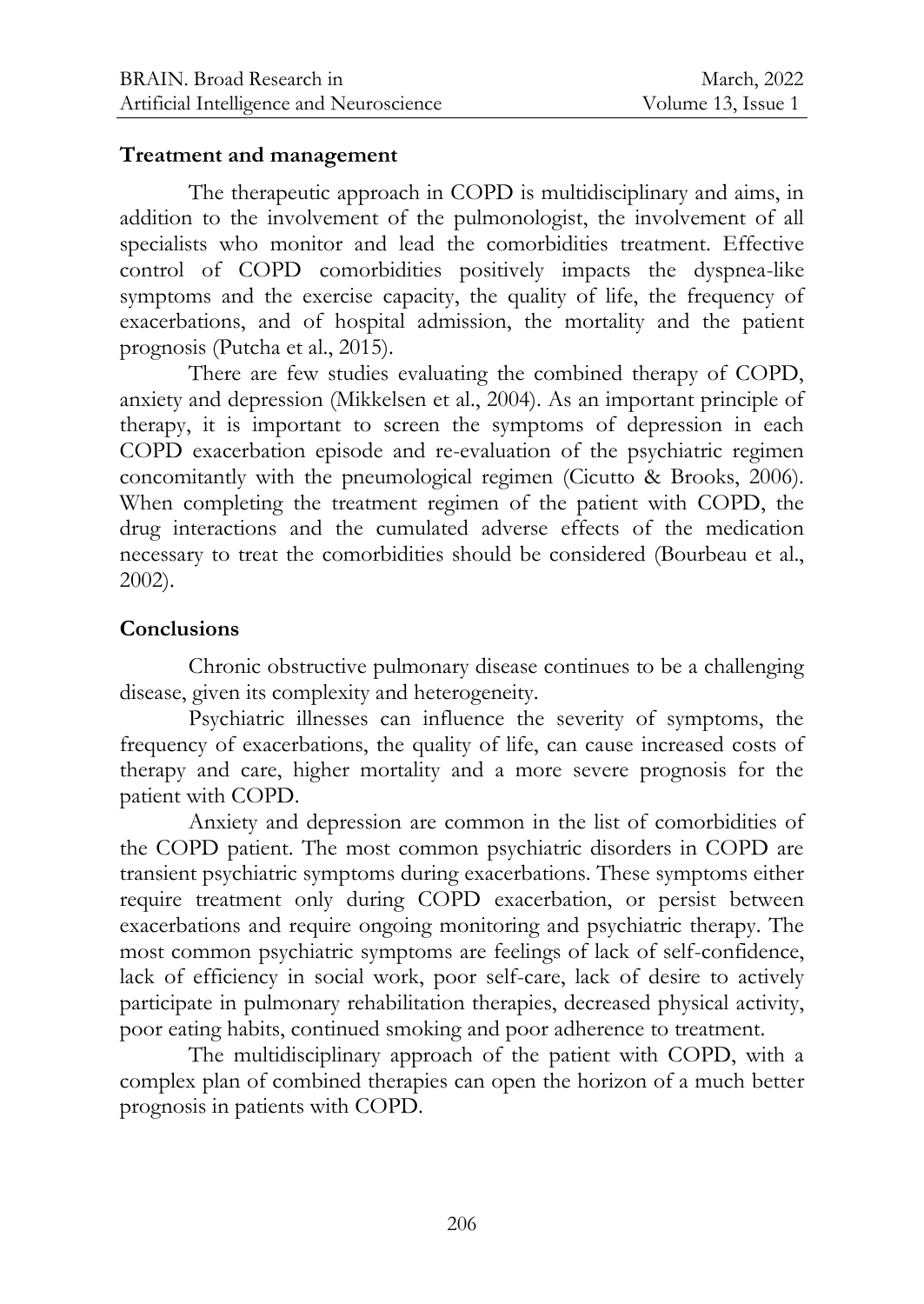#### **Treatment and management**

The therapeutic approach in COPD is multidisciplinary and aims, in addition to the involvement of the pulmonologist, the involvement of all specialists who monitor and lead the comorbidities treatment. Effective control of COPD comorbidities positively impacts the dyspnea-like symptoms and the exercise capacity, the quality of life, the frequency of exacerbations, and of hospital admission, the mortality and the patient prognosis (Putcha et al., 2015).

There are few studies evaluating the combined therapy of COPD, anxiety and depression (Mikkelsen et al., 2004). As an important principle of therapy, it is important to screen the symptoms of depression in each COPD exacerbation episode and re-evaluation of the psychiatric regimen concomitantly with the pneumological regimen (Cicutto & Brooks, 2006). When completing the treatment regimen of the patient with COPD, the drug interactions and the cumulated adverse effects of the medication necessary to treat the comorbidities should be considered (Bourbeau et al., 2002).

### **Conclusions**

Chronic obstructive pulmonary disease continues to be a challenging disease, given its complexity and heterogeneity.

Psychiatric illnesses can influence the severity of symptoms, the frequency of exacerbations, the quality of life, can cause increased costs of therapy and care, higher mortality and a more severe prognosis for the patient with COPD.

Anxiety and depression are common in the list of comorbidities of the COPD patient. The most common psychiatric disorders in COPD are transient psychiatric symptoms during exacerbations. These symptoms either require treatment only during COPD exacerbation, or persist between exacerbations and require ongoing monitoring and psychiatric therapy. The most common psychiatric symptoms are feelings of lack of self-confidence, lack of efficiency in social work, poor self-care, lack of desire to actively participate in pulmonary rehabilitation therapies, decreased physical activity, poor eating habits, continued smoking and poor adherence to treatment.

The multidisciplinary approach of the patient with COPD, with a complex plan of combined therapies can open the horizon of a much better prognosis in patients with COPD.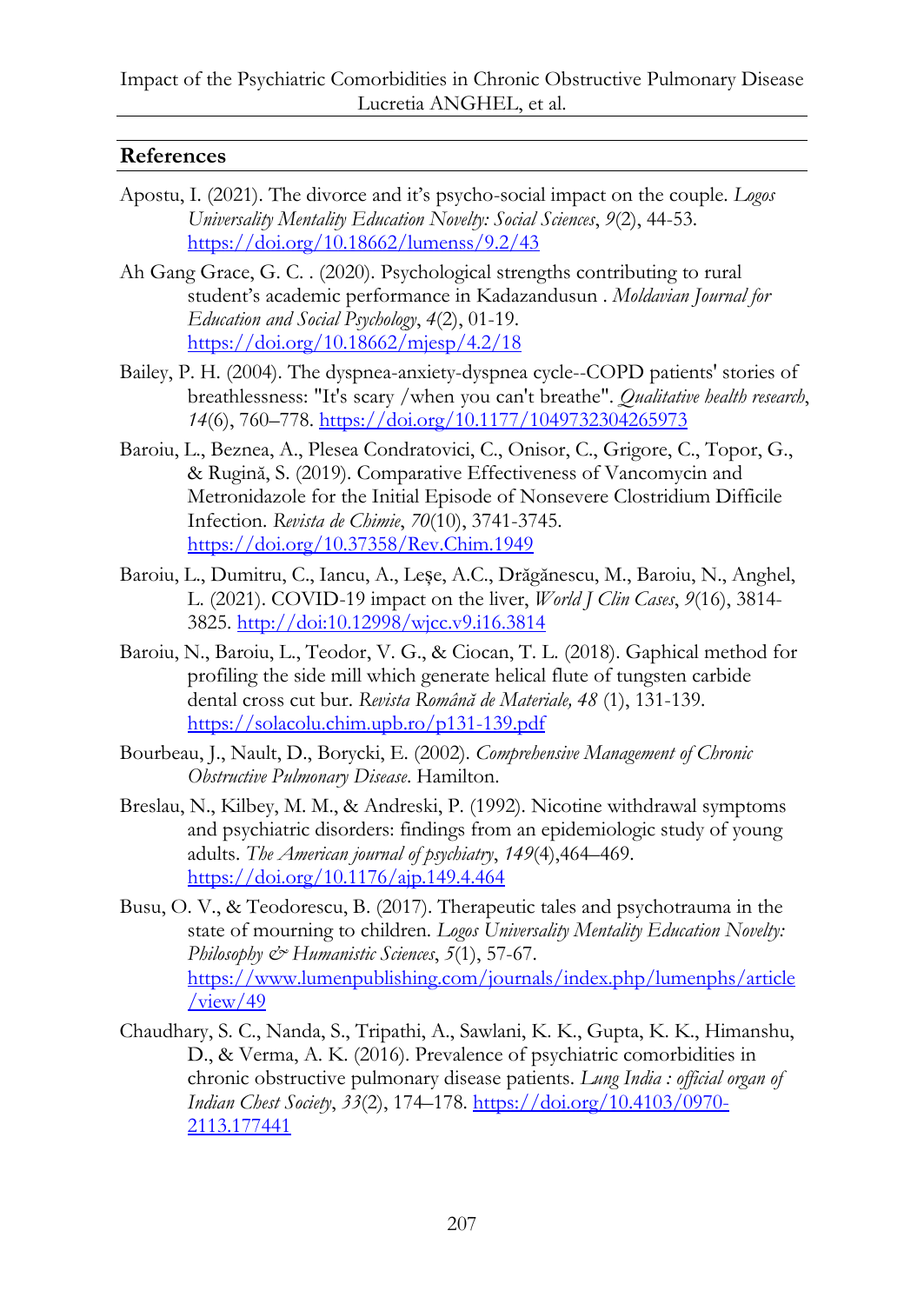## **References**

- Apostu, I. (2021). The divorce and it's psycho-social impact on the couple. *Logos Universality Mentality Education Novelty: Social Sciences*, *9*(2), 44-53. <https://doi.org/10.18662/lumenss/9.2/43>
- Ah Gang Grace, G. C. . (2020). Psychological strengths contributing to rural student's academic performance in Kadazandusun . *Moldavian Journal for Education and Social Psychology*, *4*(2), 01-19. <https://doi.org/10.18662/mjesp/4.2/18>
- Bailey, P. H. (2004). The dyspnea-anxiety-dyspnea cycle--COPD patients' stories of breathlessness: "It's scary /when you can't breathe". *Qualitative health research*, *14*(6), 760–778.<https://doi.org/10.1177/1049732304265973>
- Baroiu, L., Beznea, A., Plesea Condratovici, C., Onisor, C., Grigore, C., Topor, G., & Rugină, S. (2019). Comparative Effectiveness of Vancomycin and Metronidazole for the Initial Episode of Nonsevere Clostridium Difficile Infection. *Revista de Chimie*, *70*(10), 3741-3745. <https://doi.org/10.37358/Rev.Chim.1949>
- Baroiu, L., Dumitru, C., Iancu, A., Leșe, A.C., Drăgănescu, M., Baroiu, N., Anghel, L. (2021). COVID-19 impact on the liver, *World J Clin Cases*, *9*(16), 3814- 3825. http://doi:10.12998/wjcc.v9.i16.3814
- Baroiu, N., Baroiu, L., Teodor, V. G., & Ciocan, T. L. (2018). Gaphical method for profiling the side mill which generate helical flute of tungsten carbide dental cross cut bur. *Revista Română de Materiale, 48* (1), 131-139. <https://solacolu.chim.upb.ro/p131-139.pdf>
- Bourbeau, J., Nault, D., Borycki, E. (2002). *Comprehensive Management of Chronic Obstructive Pulmonary Disease*. Hamilton.
- Breslau, N., Kilbey, M. M., & Andreski, P. (1992). Nicotine withdrawal symptoms and psychiatric disorders: findings from an epidemiologic study of young adults. *The American journal of psychiatry*, *149*(4),464–469. <https://doi.org/10.1176/ajp.149.4.464>
- Busu, O. V., & Teodorescu, B. (2017). Therapeutic tales and psychotrauma in the state of mourning to children. *Logos Universality Mentality Education Novelty: Philosophy & Humanistic Sciences*, *5*(1), 57-67. [https://www.lumenpublishing.com/journals/index.php/lumenphs/article](https://www.lumenpublishing.com/journals/index.php/lumenphs/article/view/49)  $/$ view $/49$
- Chaudhary, S. C., Nanda, S., Tripathi, A., Sawlani, K. K., Gupta, K. K., Himanshu, D., & Verma, A. K. (2016). Prevalence of psychiatric comorbidities in chronic obstructive pulmonary disease patients. *Lung India : official organ of Indian Chest Society*, *33*(2), 174–178[. https://doi.org/10.4103/0970-](https://doi.org/10.4103/0970-2113.177441) [2113.177441](https://doi.org/10.4103/0970-2113.177441)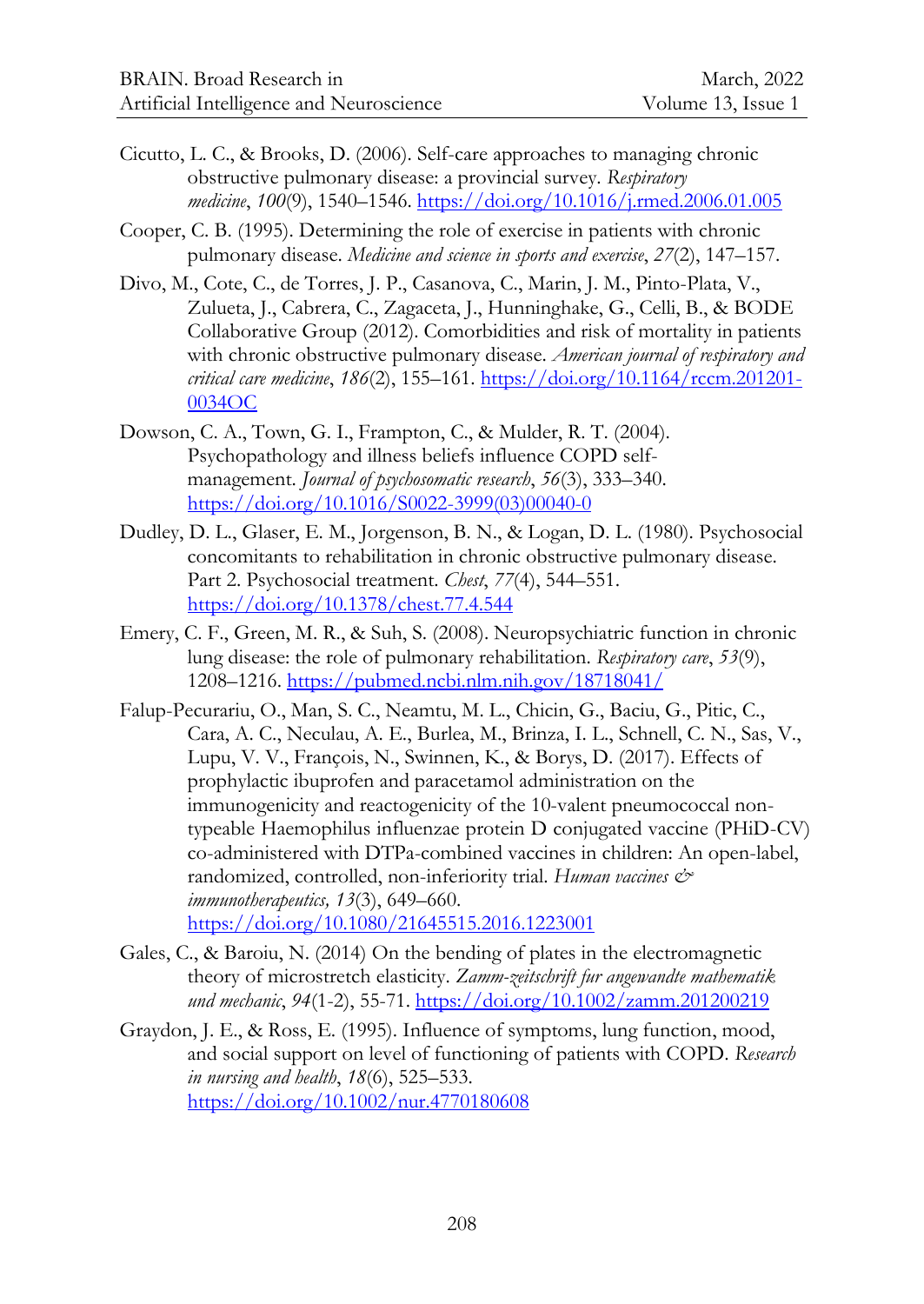- Cicutto, L. C., & Brooks, D. (2006). Self-care approaches to managing chronic obstructive pulmonary disease: a provincial survey. *Respiratory medicine*, *100*(9), 1540–1546.<https://doi.org/10.1016/j.rmed.2006.01.005>
- Cooper, C. B. (1995). Determining the role of exercise in patients with chronic pulmonary disease. *Medicine and science in sports and exercise*, *27*(2), 147–157.
- Divo, M., Cote, C., de Torres, J. P., Casanova, C., Marin, J. M., Pinto-Plata, V., Zulueta, J., Cabrera, C., Zagaceta, J., Hunninghake, G., Celli, B., & BODE Collaborative Group (2012). Comorbidities and risk of mortality in patients with chronic obstructive pulmonary disease. *American journal of respiratory and critical care medicine*, *186*(2), 155–161. [https://doi.org/10.1164/rccm.201201-](https://doi.org/10.1164/rccm.201201-0034OC) [0034OC](https://doi.org/10.1164/rccm.201201-0034OC)
- Dowson, C. A., Town, G. I., Frampton, C., & Mulder, R. T. (2004). Psychopathology and illness beliefs influence COPD selfmanagement. *Journal of psychosomatic research*, *56*(3), 333–340. [https://doi.org/10.1016/S0022-3999\(03\)00040-0](https://doi.org/10.1016/S0022-3999(03)00040-0)
- Dudley, D. L., Glaser, E. M., Jorgenson, B. N., & Logan, D. L. (1980). Psychosocial concomitants to rehabilitation in chronic obstructive pulmonary disease. Part 2. Psychosocial treatment. *Chest*, *77*(4), 544–551. <https://doi.org/10.1378/chest.77.4.544>
- Emery, C. F., Green, M. R., & Suh, S. (2008). Neuropsychiatric function in chronic lung disease: the role of pulmonary rehabilitation. *Respiratory care*, *53*(9), 1208–1216[. https://pubmed.ncbi.nlm.nih.gov/18718041/](https://pubmed.ncbi.nlm.nih.gov/18718041/)
- Falup-Pecurariu, O., Man, S. C., Neamtu, M. L., Chicin, G., Baciu, G., Pitic, C., Cara, A. C., Neculau, A. E., Burlea, M., Brinza, I. L., Schnell, C. N., Sas, V., Lupu, V. V., François, N., Swinnen, K., & Borys, D. (2017). Effects of prophylactic ibuprofen and paracetamol administration on the immunogenicity and reactogenicity of the 10-valent pneumococcal nontypeable Haemophilus influenzae protein D conjugated vaccine (PHiD-CV) co-administered with DTPa-combined vaccines in children: An open-label, randomized, controlled, non-inferiority trial. *Human vaccines & immunotherapeutics, 13*(3), 649–660. <https://doi.org/10.1080/21645515.2016.1223001>
- Gales, C., & Baroiu, N. (2014) On the bending of plates in the electromagnetic theory of microstretch elasticity. *Zamm-zeitschrift fur angewandte mathematik und mechanic*, *94*(1-2), 55-71[. https://doi.org/10.1002/zamm.201200219](https://doi.org/10.1002/zamm.201200219)
- Graydon, J. E., & Ross, E. (1995). Influence of symptoms, lung function, mood, and social support on level of functioning of patients with COPD. *Research in nursing and health*, *18*(6), 525–533. <https://doi.org/10.1002/nur.4770180608>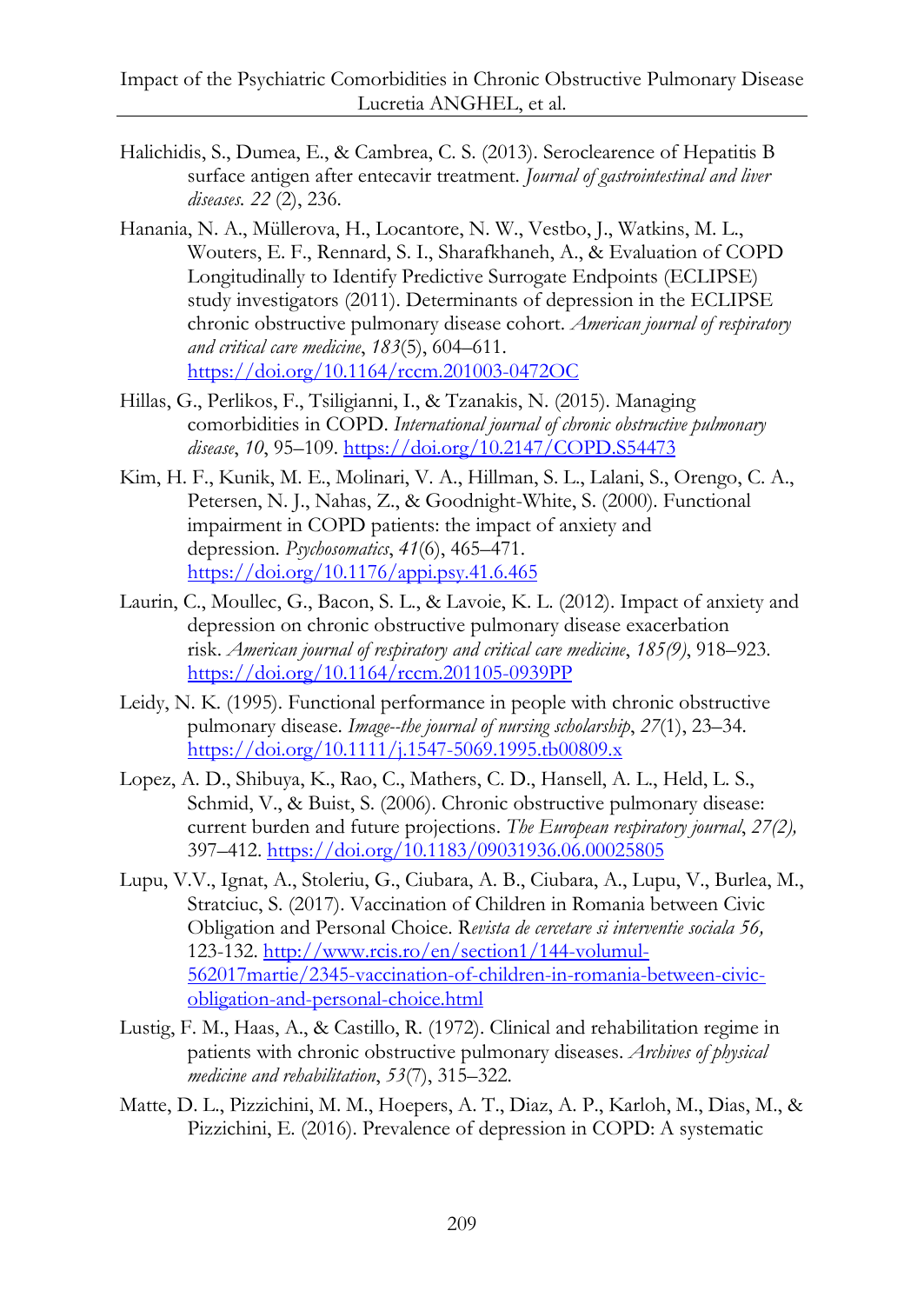- Halichidis, S., Dumea, E., & Cambrea, C. S. (2013). Seroclearence of Hepatitis B surface antigen after entecavir treatment. *Journal of gastrointestinal and liver diseases. 22* (2), 236.
- Hanania, N. A., Müllerova, H., Locantore, N. W., Vestbo, J., Watkins, M. L., Wouters, E. F., Rennard, S. I., Sharafkhaneh, A., & Evaluation of COPD Longitudinally to Identify Predictive Surrogate Endpoints (ECLIPSE) study investigators (2011). Determinants of depression in the ECLIPSE chronic obstructive pulmonary disease cohort. *American journal of respiratory and critical care medicine*, *183*(5), 604–611. <https://doi.org/10.1164/rccm.201003-0472OC>
- Hillas, G., Perlikos, F., Tsiligianni, I., & Tzanakis, N. (2015). Managing comorbidities in COPD. *International journal of chronic obstructive pulmonary disease*, *10*, 95–109.<https://doi.org/10.2147/COPD.S54473>
- Kim, H. F., Kunik, M. E., Molinari, V. A., Hillman, S. L., Lalani, S., Orengo, C. A., Petersen, N. J., Nahas, Z., & Goodnight-White, S. (2000). Functional impairment in COPD patients: the impact of anxiety and depression. *Psychosomatics*, *41*(6), 465–471. <https://doi.org/10.1176/appi.psy.41.6.465>
- Laurin, C., Moullec, G., Bacon, S. L., & Lavoie, K. L. (2012). Impact of anxiety and depression on chronic obstructive pulmonary disease exacerbation risk. *American journal of respiratory and critical care medicine*, *185(9)*, 918–923. <https://doi.org/10.1164/rccm.201105-0939PP>
- Leidy, N. K. (1995). Functional performance in people with chronic obstructive pulmonary disease. *Image--the journal of nursing scholarship*, *27*(1), 23–34. <https://doi.org/10.1111/j.1547-5069.1995.tb00809.x>
- Lopez, A. D., Shibuya, K., Rao, C., Mathers, C. D., Hansell, A. L., Held, L. S., Schmid, V., & Buist, S. (2006). Chronic obstructive pulmonary disease: current burden and future projections. *The European respiratory journal*, *27(2),* 397–412.<https://doi.org/10.1183/09031936.06.00025805>
- Lupu, V.V., Ignat, A., Stoleriu, G., Ciubara, A. B., Ciubara, A., Lupu, V., Burlea, M., Stratciuc, S. (2017). Vaccination of Children in Romania between Civic Obligation and Personal Choice. R*evista de cercetare si interventie sociala 56,*  123-132. [http://www.rcis.ro/en/section1/144-volumul-](http://www.rcis.ro/en/section1/144-volumul-562017martie/2345-vaccination-of-children-in-romania-between-civic-obligation-and-personal-choice.html)[562017martie/2345-vaccination-of-children-in-romania-between-civic](http://www.rcis.ro/en/section1/144-volumul-562017martie/2345-vaccination-of-children-in-romania-between-civic-obligation-and-personal-choice.html)[obligation-and-personal-choice.html](http://www.rcis.ro/en/section1/144-volumul-562017martie/2345-vaccination-of-children-in-romania-between-civic-obligation-and-personal-choice.html)
- Lustig, F. M., Haas, A., & Castillo, R. (1972). Clinical and rehabilitation regime in patients with chronic obstructive pulmonary diseases. *Archives of physical medicine and rehabilitation*, *53*(7), 315–322.
- Matte, D. L., Pizzichini, M. M., Hoepers, A. T., Diaz, A. P., Karloh, M., Dias, M., & Pizzichini, E. (2016). Prevalence of depression in COPD: A systematic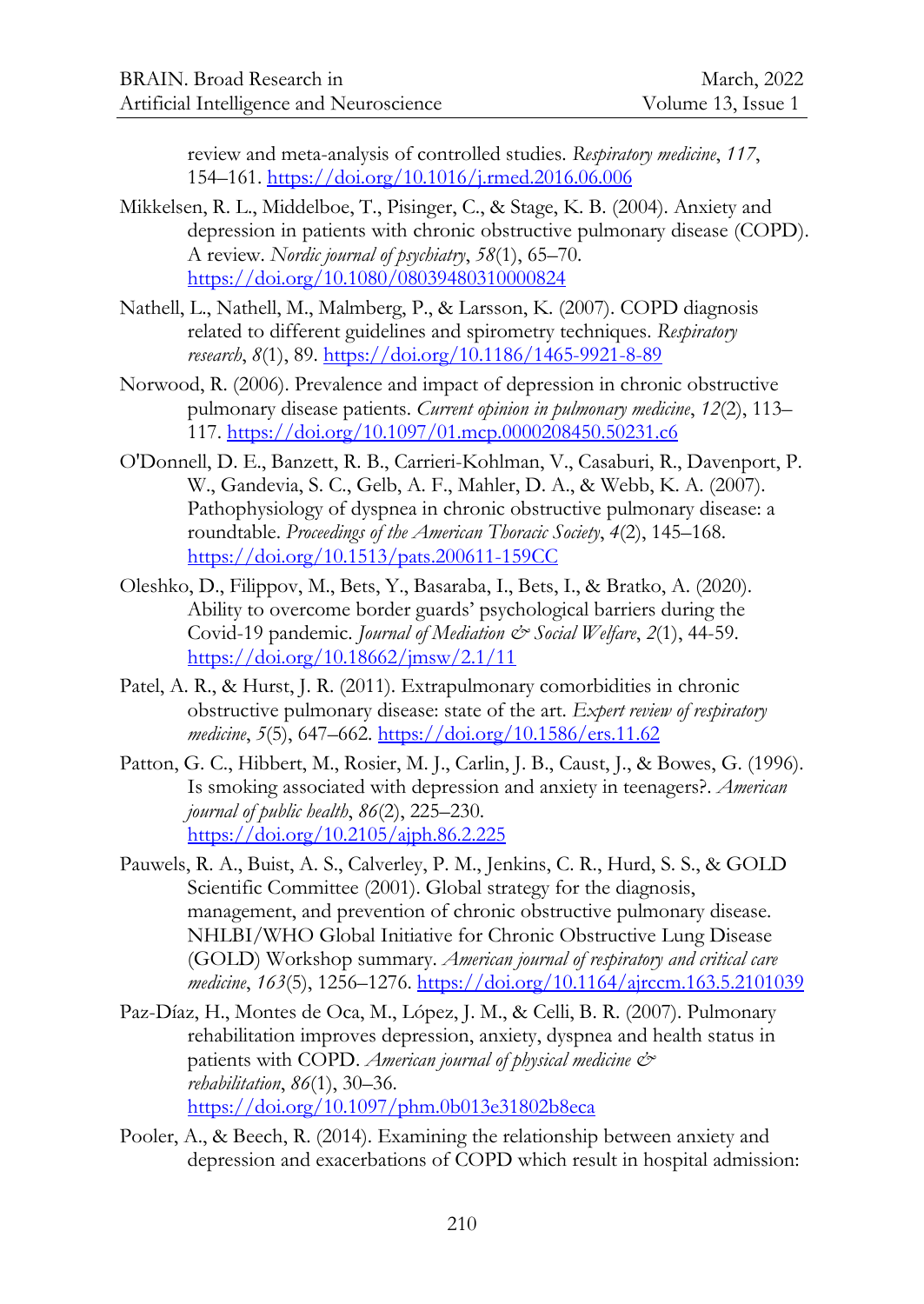review and meta-analysis of controlled studies. *Respiratory medicine*, *117*, 154–161.<https://doi.org/10.1016/j.rmed.2016.06.006>

- Mikkelsen, R. L., Middelboe, T., Pisinger, C., & Stage, K. B. (2004). Anxiety and depression in patients with chronic obstructive pulmonary disease (COPD). A review. *Nordic journal of psychiatry*, *58*(1), 65–70. <https://doi.org/10.1080/08039480310000824>
- Nathell, L., Nathell, M., Malmberg, P., & Larsson, K. (2007). COPD diagnosis related to different guidelines and spirometry techniques. *Respiratory research*, *8*(1), 89[. https://doi.org/10.1186/1465-9921-8-89](https://doi.org/10.1186/1465-9921-8-89)
- Norwood, R. (2006). Prevalence and impact of depression in chronic obstructive pulmonary disease patients. *Current opinion in pulmonary medicine*, *12*(2), 113– 117.<https://doi.org/10.1097/01.mcp.0000208450.50231.c6>
- O'Donnell, D. E., Banzett, R. B., Carrieri-Kohlman, V., Casaburi, R., Davenport, P. W., Gandevia, S. C., Gelb, A. F., Mahler, D. A., & Webb, K. A. (2007). Pathophysiology of dyspnea in chronic obstructive pulmonary disease: a roundtable. *Proceedings of the American Thoracic Society*, *4*(2), 145–168. <https://doi.org/10.1513/pats.200611-159CC>
- Oleshko, D., Filippov, M., Bets, Y., Basaraba, I., Bets, I., & Bratko, A. (2020). Ability to overcome border guards' psychological barriers during the Covid-19 pandemic. *Journal of Mediation & Social Welfare*, *2*(1), 44-59. <https://doi.org/10.18662/jmsw/2.1/11>
- Patel, A. R., & Hurst, J. R. (2011). Extrapulmonary comorbidities in chronic obstructive pulmonary disease: state of the art. *Expert review of respiratory medicine*, *5*(5), 647–662.<https://doi.org/10.1586/ers.11.62>
- Patton, G. C., Hibbert, M., Rosier, M. J., Carlin, J. B., Caust, J., & Bowes, G. (1996). Is smoking associated with depression and anxiety in teenagers?. *American journal of public health*, *86*(2), 225–230. <https://doi.org/10.2105/ajph.86.2.225>
- Pauwels, R. A., Buist, A. S., Calverley, P. M., Jenkins, C. R., Hurd, S. S., & GOLD Scientific Committee (2001). Global strategy for the diagnosis, management, and prevention of chronic obstructive pulmonary disease. NHLBI/WHO Global Initiative for Chronic Obstructive Lung Disease (GOLD) Workshop summary. *American journal of respiratory and critical care medicine*, *163*(5), 1256–1276.<https://doi.org/10.1164/ajrccm.163.5.2101039>
- Paz-Díaz, H., Montes de Oca, M., López, J. M., & Celli, B. R. (2007). Pulmonary rehabilitation improves depression, anxiety, dyspnea and health status in patients with COPD. *American journal of physical medicine*  $\mathcal{O}^*$ *rehabilitation*, *86*(1), 30–36. <https://doi.org/10.1097/phm.0b013e31802b8eca>
- Pooler, A., & Beech, R. (2014). Examining the relationship between anxiety and depression and exacerbations of COPD which result in hospital admission: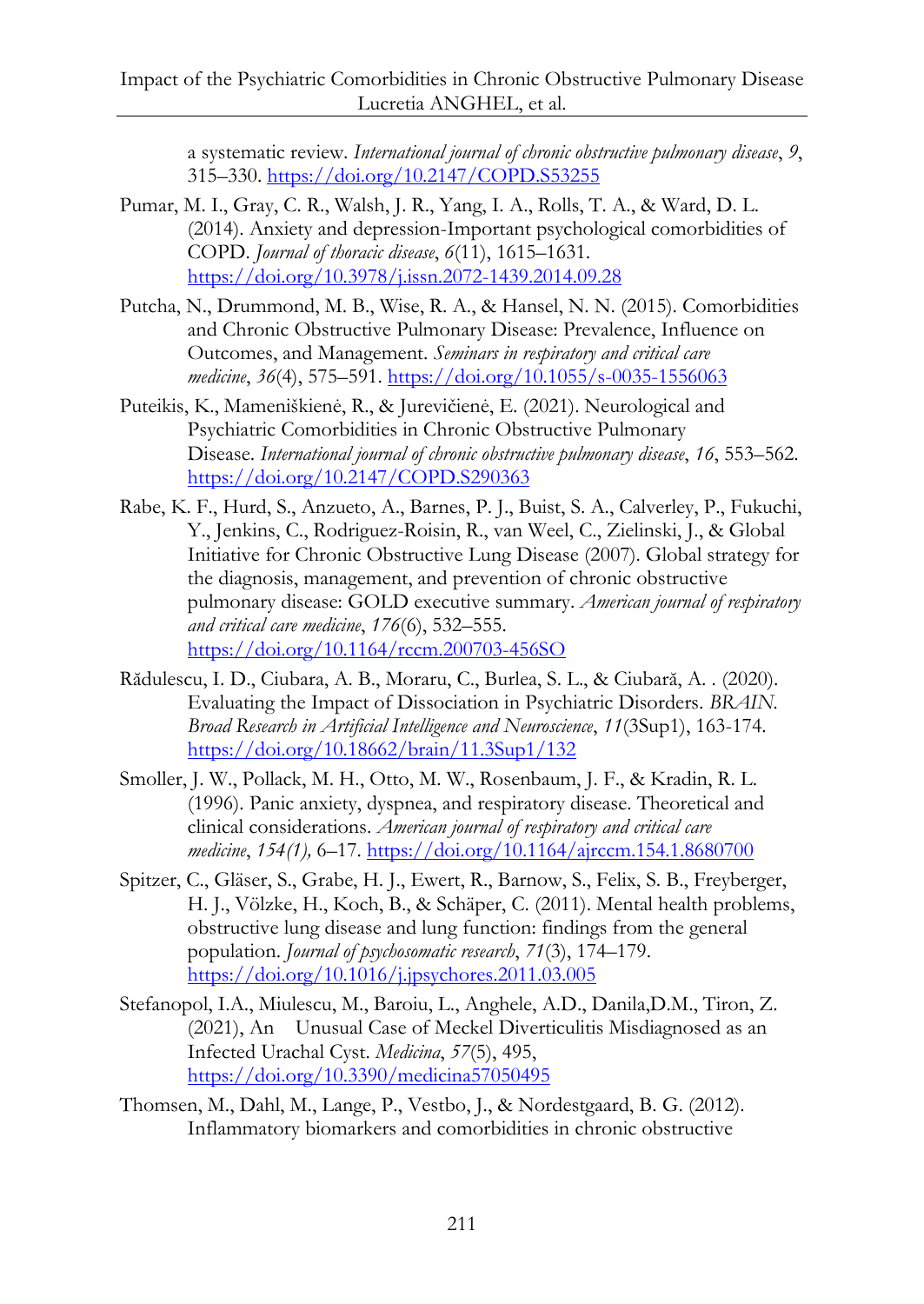a systematic review. *International journal of chronic obstructive pulmonary disease*, *9*, 315–330.<https://doi.org/10.2147/COPD.S53255>

- Pumar, M. I., Gray, C. R., Walsh, J. R., Yang, I. A., Rolls, T. A., & Ward, D. L. (2014). Anxiety and depression-Important psychological comorbidities of COPD. *Journal of thoracic disease*, *6*(11), 1615–1631. <https://doi.org/10.3978/j.issn.2072-1439.2014.09.28>
- Putcha, N., Drummond, M. B., Wise, R. A., & Hansel, N. N. (2015). Comorbidities and Chronic Obstructive Pulmonary Disease: Prevalence, Influence on Outcomes, and Management. *Seminars in respiratory and critical care medicine*, *36*(4), 575–591.<https://doi.org/10.1055/s-0035-1556063>
- Puteikis, K., Mameniškienė, R., & Jurevičienė, E. (2021). Neurological and Psychiatric Comorbidities in Chronic Obstructive Pulmonary Disease. *International journal of chronic obstructive pulmonary disease*, *16*, 553–562. <https://doi.org/10.2147/COPD.S290363>
- Rabe, K. F., Hurd, S., Anzueto, A., Barnes, P. J., Buist, S. A., Calverley, P., Fukuchi, Y., Jenkins, C., Rodriguez-Roisin, R., van Weel, C., Zielinski, J., & Global Initiative for Chronic Obstructive Lung Disease (2007). Global strategy for the diagnosis, management, and prevention of chronic obstructive pulmonary disease: GOLD executive summary. *American journal of respiratory and critical care medicine*, *176*(6), 532–555. <https://doi.org/10.1164/rccm.200703-456SO>
- Rădulescu, I. D., Ciubara, A. B., Moraru, C., Burlea, S. L., & Ciubară, A. . (2020). Evaluating the Impact of Dissociation in Psychiatric Disorders. *BRAIN. Broad Research in Artificial Intelligence and Neuroscience*, *11*(3Sup1), 163-174. <https://doi.org/10.18662/brain/11.3Sup1/132>
- Smoller, J. W., Pollack, M. H., Otto, M. W., Rosenbaum, J. F., & Kradin, R. L. (1996). Panic anxiety, dyspnea, and respiratory disease. Theoretical and clinical considerations. *American journal of respiratory and critical care medicine*, *154(1),* 6–17.<https://doi.org/10.1164/ajrccm.154.1.8680700>
- Spitzer, C., Gläser, S., Grabe, H. J., Ewert, R., Barnow, S., Felix, S. B., Freyberger, H. J., Völzke, H., Koch, B., & Schäper, C. (2011). Mental health problems, obstructive lung disease and lung function: findings from the general population. *Journal of psychosomatic research*, *71*(3), 174–179. <https://doi.org/10.1016/j.jpsychores.2011.03.005>
- Stefanopol, I.A., Miulescu, M., Baroiu, L., Anghele, A.D., Danila,D.M., Tiron, Z. (2021), An Unusual Case of Meckel Diverticulitis Misdiagnosed as an Infected Urachal Cyst. *Medicina*, *57*(5), 495, <https://doi.org/10.3390/medicina57050495>
- Thomsen, M., Dahl, M., Lange, P., Vestbo, J., & Nordestgaard, B. G. (2012). Inflammatory biomarkers and comorbidities in chronic obstructive